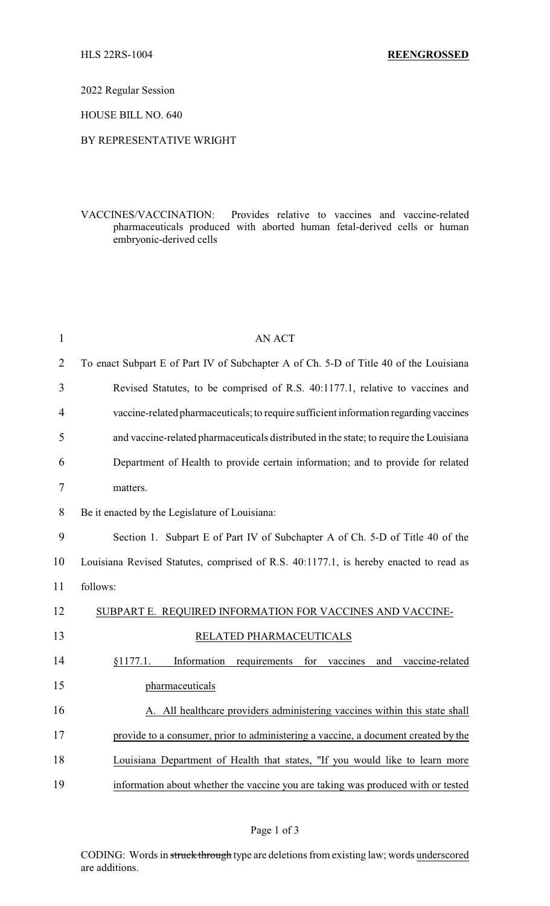2022 Regular Session

HOUSE BILL NO. 640

## BY REPRESENTATIVE WRIGHT

VACCINES/VACCINATION: Provides relative to vaccines and vaccine-related pharmaceuticals produced with aborted human fetal-derived cells or human embryonic-derived cells

| $\mathbf{1}$   | <b>AN ACT</b>                                                                          |
|----------------|----------------------------------------------------------------------------------------|
| $\overline{2}$ | To enact Subpart E of Part IV of Subchapter A of Ch. 5-D of Title 40 of the Louisiana  |
| 3              | Revised Statutes, to be comprised of R.S. 40:1177.1, relative to vaccines and          |
| 4              | vaccine-related pharmaceuticals; to require sufficient information regarding vaccines  |
| 5              | and vaccine-related pharmaceuticals distributed in the state; to require the Louisiana |
| 6              | Department of Health to provide certain information; and to provide for related        |
| $\tau$         | matters.                                                                               |
| 8              | Be it enacted by the Legislature of Louisiana:                                         |
| 9              | Section 1. Subpart E of Part IV of Subchapter A of Ch. 5-D of Title 40 of the          |
| 10             | Louisiana Revised Statutes, comprised of R.S. 40:1177.1, is hereby enacted to read as  |
| 11             | follows:                                                                               |
| 12             | SUBPART E. REQUIRED INFORMATION FOR VACCINES AND VACCINE-                              |
| 13             | RELATED PHARMACEUTICALS                                                                |
| 14             | Information<br>§1177.1.<br>requirements<br>for<br>vaccines<br>and<br>vaccine-related   |
| 15             | pharmaceuticals                                                                        |
| 16             | A. All healthcare providers administering vaccines within this state shall             |
| 17             | provide to a consumer, prior to administering a vaccine, a document created by the     |
| 18             | Louisiana Department of Health that states, "If you would like to learn more           |
| 19             | information about whether the vaccine you are taking was produced with or tested       |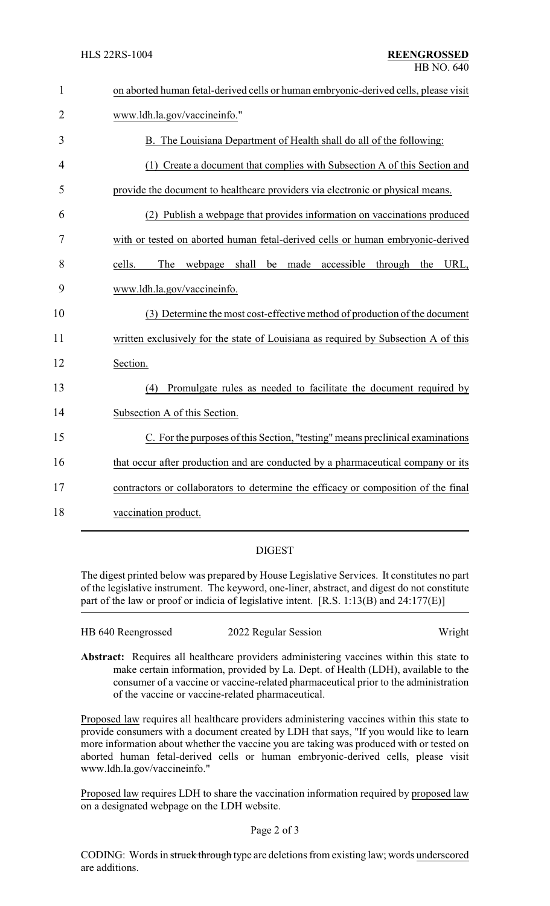| $\mathbf{1}$   | on aborted human fetal-derived cells or human embryonic-derived cells, please visit |  |
|----------------|-------------------------------------------------------------------------------------|--|
| $\overline{2}$ | www.ldh.la.gov/vaccineinfo."                                                        |  |
| 3              | B. The Louisiana Department of Health shall do all of the following:                |  |
| 4              | (1) Create a document that complies with Subsection A of this Section and           |  |
| 5              | provide the document to healthcare providers via electronic or physical means.      |  |
| 6              | (2) Publish a webpage that provides information on vaccinations produced            |  |
| 7              | with or tested on aborted human fetal-derived cells or human embryonic-derived      |  |
| 8              | made<br>The<br>webpage shall<br>be<br>accessible through<br>URL,<br>cells.<br>the   |  |
| 9              | www.ldh.la.gov/vaccineinfo.                                                         |  |
| 10             | (3) Determine the most cost-effective method of production of the document          |  |
| 11             | written exclusively for the state of Louisiana as required by Subsection A of this  |  |
| 12             | Section.                                                                            |  |
| 13             | Promulgate rules as needed to facilitate the document required by<br>(4)            |  |
| 14             | Subsection A of this Section.                                                       |  |
| 15             | C. For the purposes of this Section, "testing" means preclinical examinations       |  |
| 16             | that occur after production and are conducted by a pharmaceutical company or its    |  |
| 17             | contractors or collaborators to determine the efficacy or composition of the final  |  |
| 18             | vaccination product.                                                                |  |

## DIGEST

The digest printed below was prepared by House Legislative Services. It constitutes no part of the legislative instrument. The keyword, one-liner, abstract, and digest do not constitute part of the law or proof or indicia of legislative intent. [R.S. 1:13(B) and 24:177(E)]

| HB 640 Reengrossed | 2022 Regular Session | Wright |
|--------------------|----------------------|--------|
|                    |                      |        |

**Abstract:** Requires all healthcare providers administering vaccines within this state to make certain information, provided by La. Dept. of Health (LDH), available to the consumer of a vaccine or vaccine-related pharmaceutical prior to the administration of the vaccine or vaccine-related pharmaceutical.

Proposed law requires all healthcare providers administering vaccines within this state to provide consumers with a document created by LDH that says, "If you would like to learn more information about whether the vaccine you are taking was produced with or tested on aborted human fetal-derived cells or human embryonic-derived cells, please visit www.ldh.la.gov/vaccineinfo."

Proposed law requires LDH to share the vaccination information required by proposed law on a designated webpage on the LDH website.